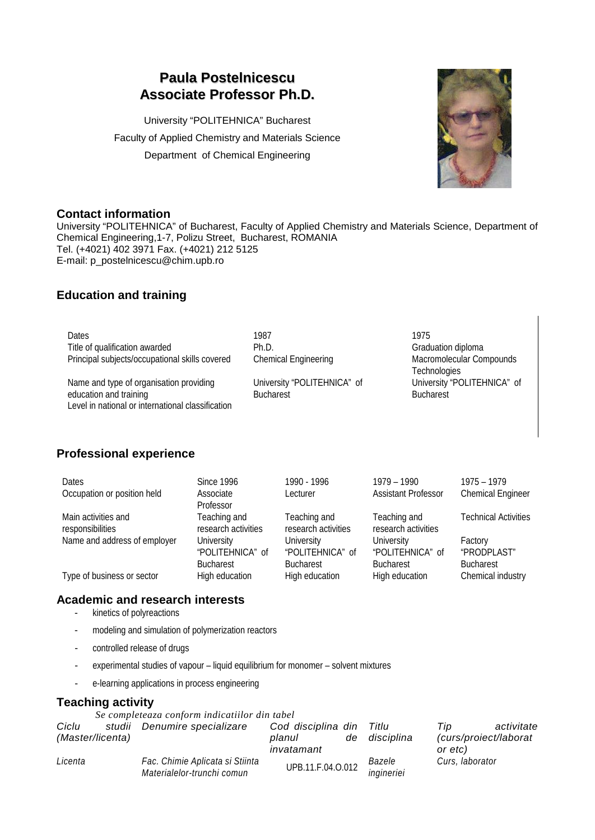# **Paula Postelnicescu Associate Professor Ph.D.**

University "POLITEHNICA" Bucharest Faculty of Applied Chemistry and Materials Science Department of Chemical Engineering



### **Contact information**

University "POLITEHNICA" of Bucharest, Faculty of Applied Chemistry and Materials Science, Department of Chemical Engineering,1-7, Polizu Street, Bucharest, ROMANIA Tel. (+4021) 402 3971 Fax. (+4021) 212 5125 E-mail: p\_postelnicescu@chim.upb.ro

## **Education and training**

| Dates                                             | 1987                        | 1975         |
|---------------------------------------------------|-----------------------------|--------------|
| Title of qualification awarded                    | Ph.D.                       | Grad         |
| Principal subjects/occupational skills covered    | <b>Chemical Engineering</b> | Macr         |
|                                                   |                             | Tech         |
| Name and type of organisation providing           | University "POLITEHNICA" of | <b>Unive</b> |
| education and training                            | <b>Bucharest</b>            | <b>Buch</b>  |
| Level in national or international classification |                             |              |

aduation diploma **Principal subsets** compounds chnologies liversity "POLITEHNICA" of charest

## **Professional experience**

| <b>Dates</b>                            | <b>Since 1996</b>                                  | 1990 - 1996                                        | $1979 - 1990$                                      | $1975 - 1979$                              |
|-----------------------------------------|----------------------------------------------------|----------------------------------------------------|----------------------------------------------------|--------------------------------------------|
| Occupation or position held             | Associate<br>Professor                             | Lecturer                                           | <b>Assistant Professor</b>                         | <b>Chemical Engineer</b>                   |
| Main activities and<br>responsibilities | Teaching and<br>research activities                | Teaching and<br>research activities                | Teaching and<br>research activities                | <b>Technical Activities</b>                |
| Name and address of employer            | University<br>"POLITEHNICA" of<br><b>Bucharest</b> | University<br>"POLITEHNICA" of<br><b>Bucharest</b> | University<br>"POLITEHNICA" of<br><b>Bucharest</b> | Factory<br>"PRODPLAST"<br><b>Bucharest</b> |
| Type of business or sector              | High education                                     | High education                                     | High education                                     | Chemical industry                          |

### **Academic and research interests**

- kinetics of polyreactions
- modeling and simulation of polymerization reactors
- controlled release of drugs
- experimental studies of vapour liquid equilibrium for monomer solvent mixtures
- e-learning applications in process engineering

### **Teaching activity**

*Se completeaza conform indicatiilor din tabel*

| Ciclu<br>(Master/licenta) | studii | Denumire specializare                                         | Cod disciplina din<br>planul<br>de<br>invatamant | Titlu<br>disciplina  | activitate<br>l ip<br>(curs/proiect/laborat)<br>or etc) |
|---------------------------|--------|---------------------------------------------------------------|--------------------------------------------------|----------------------|---------------------------------------------------------|
| Licenta                   |        | Fac. Chimie Aplicata si Stiinta<br>Materialelor-trunchi comun | UPB.11.F.04.O.012                                | Bazele<br>ingineriei | Curs, laborator                                         |